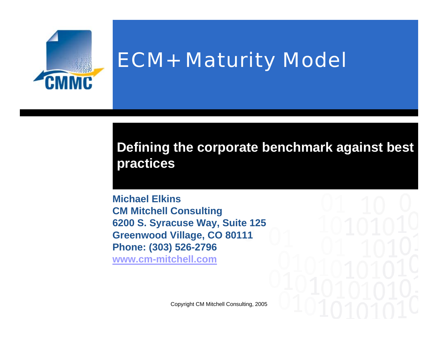

# ECM+ Maturity Model

#### **Defining the corporate benchmark against best practices**

**Michael ElkinsCM Mitchell Consulting 6200 S. Syracuse Way, Suite 125 Greenwood Village, CO 80111 Phone: (303) 526-2796 www.cm-mitchell.com**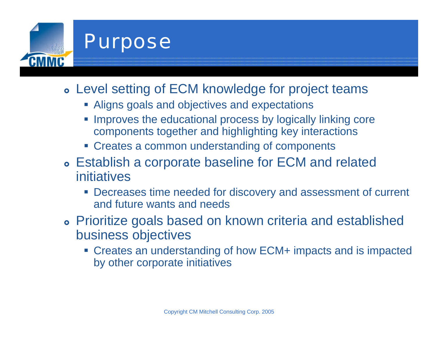

## Purpose

- **Level setting of ECM knowledge for project teams** 
	- Aligns goals and objectives and expectations
	- **Improves the educational process by logically linking core** components together and highlighting key interactions
	- **Exercise Exercise 2 common understanding of components**
- **Establish a corporate baseline for ECM and related** initiatives
	- Decreases time needed for discovery and assessment of current and future wants and needs
- **Prioritize goals based on known criteria and established** business objectives
	- Creates an understanding of how ECM+ impacts and is impacted by other corporate initiatives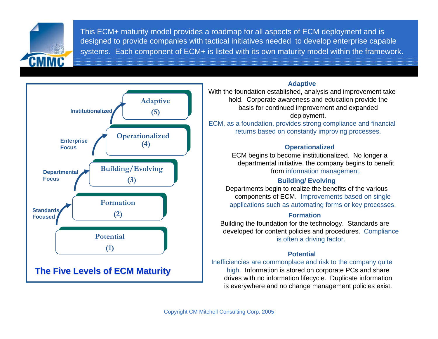This ECM+ maturity model provides a roadmap for all aspects of ECM deployment and is designed to provide companies with tactical initiatives needed to develop enterprise capable systems. Each component of ECM+ is listed with its own maturity model within the framework.



#### **Adaptive**

With the foundation established, analysis and improvement take hold. Corporate awareness and education provide the basis for continued improvement and expanded deployment.

ECM, as a foundation, provides strong compliance and financial returns based on constantly improving processes.

#### **Operationalized**

ECM begins to become institutionalized. No longer a departmental initiative, the company begins to benefit from information management.

#### **Building/ Evolving**

Departments begin to realize the benefits of the various components of ECM. Improvements based on single applications such as automating forms or key processes.

#### **Formation**

Building the foundation for the technology. Standards are developed for content policies and procedures. Compliance is often a driving factor.

#### **Potential**

Inefficiencies are commonplace and risk to the company quite high. Information is stored on corporate PCs and share drives with no information lifecycle. Duplicate information is everywhere and no change management policies exist.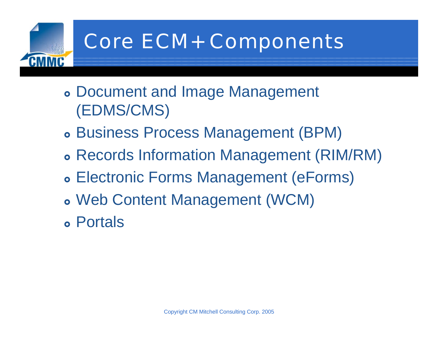

# Core ECM+ Components

- **Document and Image Management** (EDMS/CMS)
- **Business Process Management (BPM)**
- } Records Information Management (RIM/RM)
- **Electronic Forms Management (eForms)**
- } Web Content Management (WCM)
- } Portals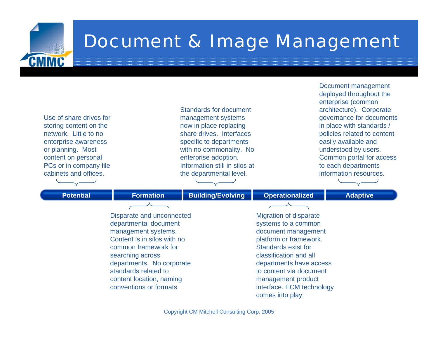

### Document & Image Management

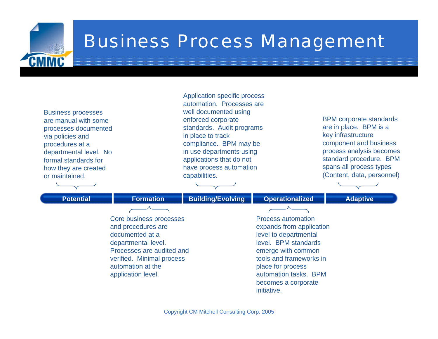

### Business Process Management

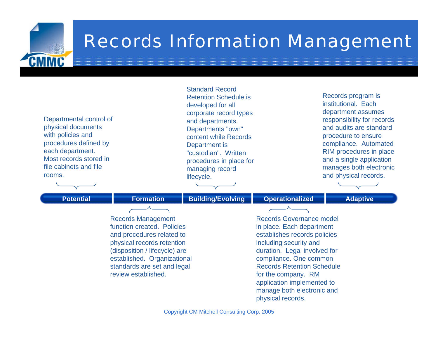

### Records Information Management

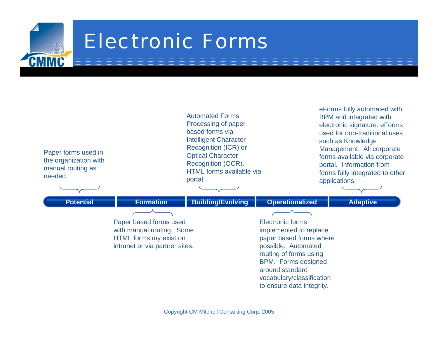

# Electronic Forms

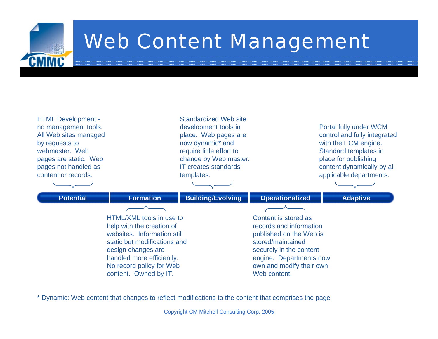

# Web Content Management



\* Dynamic: Web content that changes to reflect modifications to the content that comprises the page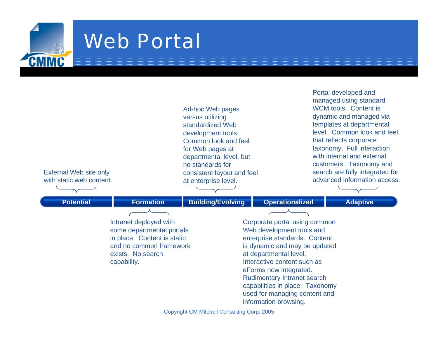

### Web Portal

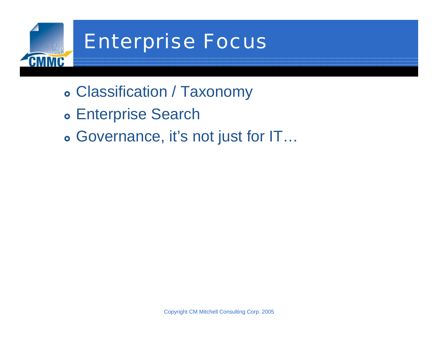

# Enterprise Focus

- } Classification / Taxonomy
- **Enterprise Search**
- } Governance, it's not just for IT…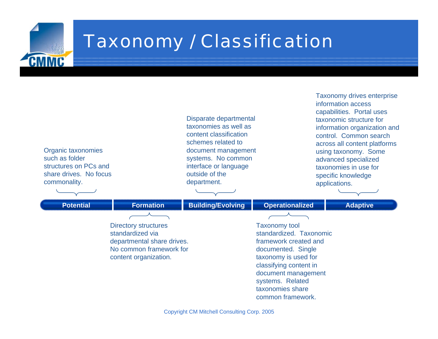

## Taxonomy / Classification

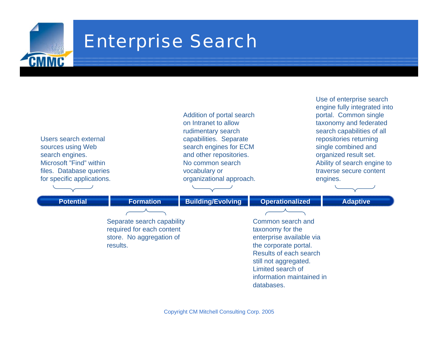

#### Enterprise Search

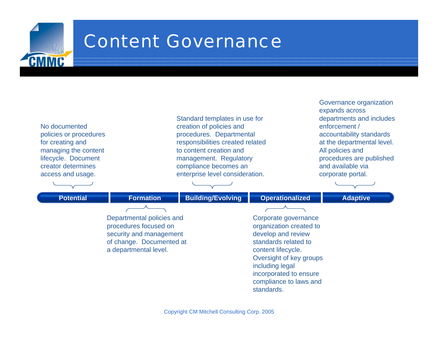

#### Content Governance